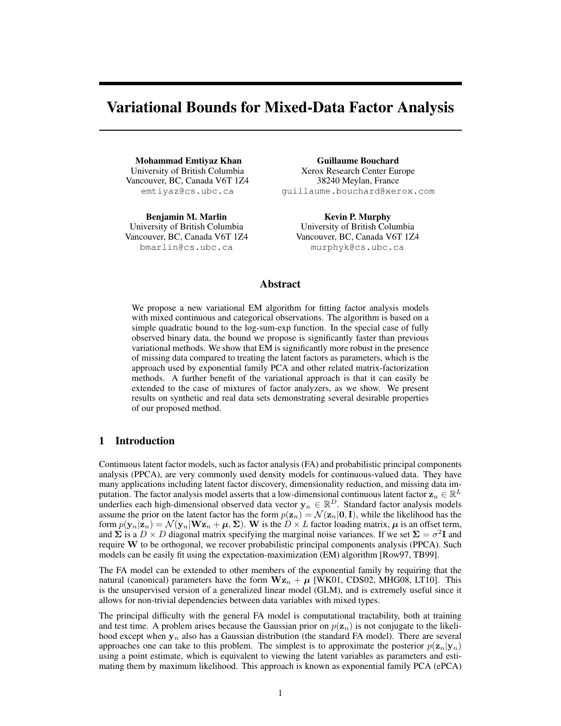# Variational Bounds for Mixed-Data Factor Analysis

Mohammad Emtiyaz Khan University of British Columbia Vancouver, BC, Canada V6T 1Z4 emtiyaz@cs.ubc.ca

Benjamin M. Marlin University of British Columbia Vancouver, BC, Canada V6T 1Z4 bmarlin@cs.ubc.ca

Guillaume Bouchard Xerox Research Center Europe 38240 Meylan, France guillaume.bouchard@xerox.com

Kevin P. Murphy University of British Columbia Vancouver, BC, Canada V6T 1Z4 murphyk@cs.ubc.ca

## Abstract

We propose a new variational EM algorithm for fitting factor analysis models with mixed continuous and categorical observations. The algorithm is based on a simple quadratic bound to the log-sum-exp function. In the special case of fully observed binary data, the bound we propose is significantly faster than previous variational methods. We show that EM is significantly more robust in the presence of missing data compared to treating the latent factors as parameters, which is the approach used by exponential family PCA and other related matrix-factorization methods. A further benefit of the variational approach is that it can easily be extended to the case of mixtures of factor analyzers, as we show. We present results on synthetic and real data sets demonstrating several desirable properties of our proposed method.

# 1 Introduction

Continuous latent factor models, such as factor analysis (FA) and probabilistic principal components analysis (PPCA), are very commonly used density models for continuous-valued data. They have many applications including latent factor discovery, dimensionality reduction, and missing data imputation. The factor analysis model asserts that a low-dimensional continuous latent factor  $\mathbf{z}_n \in \mathbb{R}^L$ underlies each high-dimensional observed data vector  $y_n \in \mathbb{R}^D$ . Standard factor analysis models assume the prior on the latent factor has the form  $p(\mathbf{z}_n) = \mathcal{N}(\mathbf{z}_n | \mathbf{0}, \mathbf{I})$ , while the likelihood has the form  $p(\mathbf{y}_n|\mathbf{z}_n) = \mathcal{N}(\mathbf{y}_n|\mathbf{W}\mathbf{z}_n + \boldsymbol{\mu}, \boldsymbol{\Sigma})$ . W is the  $D \times L$  factor loading matrix,  $\boldsymbol{\mu}$  is an offset term, and  $\Sigma$  is a  $D \times D$  diagonal matrix specifying the marginal noise variances. If we set  $\Sigma = \sigma^2 I$  and require W to be orthogonal, we recover probabilistic principal components analysis (PPCA). Such models can be easily fit using the expectation-maximization (EM) algorithm [Row97, TB99].

The FA model can be extended to other members of the exponential family by requiring that the natural (canonical) parameters have the form  $Wz_n + \mu$  [WK01, CDS02, MHG08, LT10]. This is the unsupervised version of a generalized linear model (GLM), and is extremely useful since it allows for non-trivial dependencies between data variables with mixed types.

The principal difficulty with the general FA model is computational tractability, both at training and test time. A problem arises because the Gaussian prior on  $p(\mathbf{z}_n)$  is not conjugate to the likelihood except when  $y_n$  also has a Gaussian distribution (the standard FA model). There are several approaches one can take to this problem. The simplest is to approximate the posterior  $p(\mathbf{z}_n|\mathbf{y}_n)$ using a point estimate, which is equivalent to viewing the latent variables as parameters and estimating them by maximum likelihood. This approach is known as exponential family PCA (ePCA)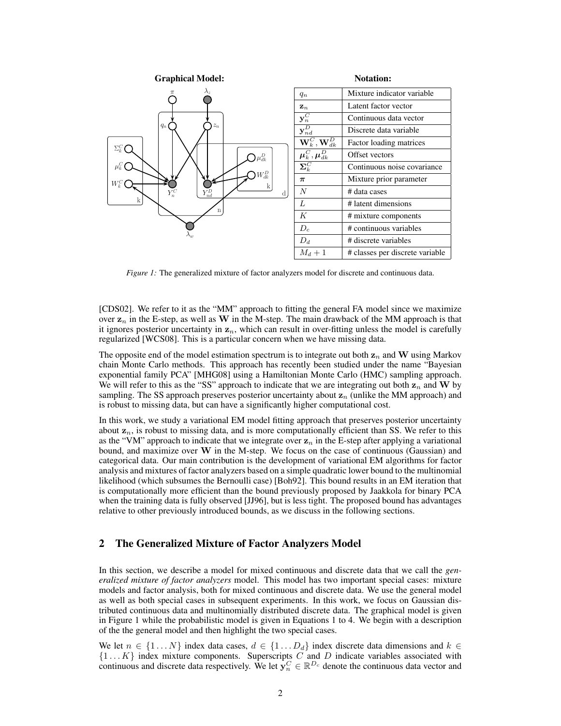

*Figure 1:* The generalized mixture of factor analyzers model for discrete and continuous data.

[CDS02]. We refer to it as the "MM" approach to fitting the general FA model since we maximize over  $z_n$  in the E-step, as well as W in the M-step. The main drawback of the MM approach is that it ignores posterior uncertainty in  $z_n$ , which can result in over-fitting unless the model is carefully regularized [WCS08]. This is a particular concern when we have missing data.

The opposite end of the model estimation spectrum is to integrate out both  $z_n$  and W using Markov chain Monte Carlo methods. This approach has recently been studied under the name "Bayesian exponential family PCA" [MHG08] using a Hamiltonian Monte Carlo (HMC) sampling approach. We will refer to this as the "SS" approach to indicate that we are integrating out both  $z_n$  and W by sampling. The SS approach preserves posterior uncertainty about  $z_n$  (unlike the MM approach) and is robust to missing data, but can have a significantly higher computational cost.

In this work, we study a variational EM model fitting approach that preserves posterior uncertainty about  $z_n$ , is robust to missing data, and is more computationally efficient than SS. We refer to this as the "VM" approach to indicate that we integrate over  $z_n$  in the E-step after applying a variational bound, and maximize over W in the M-step. We focus on the case of continuous (Gaussian) and categorical data. Our main contribution is the development of variational EM algorithms for factor analysis and mixtures of factor analyzers based on a simple quadratic lower bound to the multinomial likelihood (which subsumes the Bernoulli case) [Boh92]. This bound results in an EM iteration that is computationally more efficient than the bound previously proposed by Jaakkola for binary PCA when the training data is fully observed [JJ96], but is less tight. The proposed bound has advantages relative to other previously introduced bounds, as we discuss in the following sections.

# 2 The Generalized Mixture of Factor Analyzers Model

In this section, we describe a model for mixed continuous and discrete data that we call the *generalized mixture of factor analyzers* model. This model has two important special cases: mixture models and factor analysis, both for mixed continuous and discrete data. We use the general model as well as both special cases in subsequent experiments. In this work, we focus on Gaussian distributed continuous data and multinomially distributed discrete data. The graphical model is given in Figure 1 while the probabilistic model is given in Equations 1 to 4. We begin with a description of the the general model and then highlight the two special cases.

We let  $n \in \{1...N\}$  index data cases,  $d \in \{1...D_d\}$  index discrete data dimensions and  $k \in$  $\{1...K\}$  index mixture components. Superscripts C and D indicate variables associated with continuous and discrete data respectively. We let  $y_n^C \in \mathbb{R}^{D_c}$  denote the continuous data vector and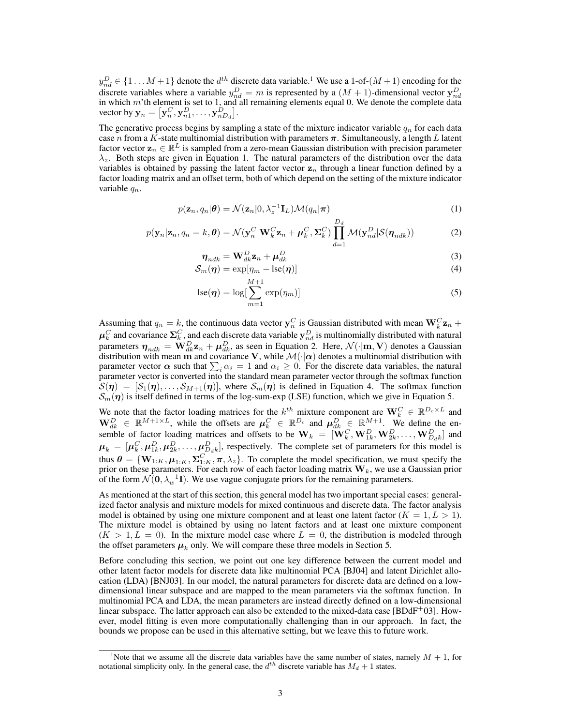$y_{nd}^D \in \{1 \dots M+1\}$  denote the  $d^{th}$  discrete data variable.<sup>1</sup> We use a 1-of- $(M+1)$  encoding for the discrete variables where a variable  $y_{nd}^D = m$  is represented by a  $(M + 1)$ -dimensional vector  $\mathbf{y}_{nd}^D$  in which m'th element is set to 1, and all remaining elements equal 0. We denote the complete data vector by  $\mathbf{y}_n = \big[ \mathbf{y}_n^C, \mathbf{y}_{n1}^D, \dots, \mathbf{y}_{nD_d}^D \big].$ 

The generative process begins by sampling a state of the mixture indicator variable  $q_n$  for each data case n from a K-state multinomial distribution with parameters  $\pi$ . Simultaneously, a length L latent factor vector  $z_n \in \mathbb{R}^L$  is sampled from a zero-mean Gaussian distribution with precision parameter  $\lambda_z$ . Both steps are given in Equation 1. The natural parameters of the distribution over the data variables is obtained by passing the latent factor vector  $z_n$  through a linear function defined by a factor loading matrix and an offset term, both of which depend on the setting of the mixture indicator variable  $q_n$ .

$$
p(\mathbf{z}_n, q_n | \boldsymbol{\theta}) = \mathcal{N}(\mathbf{z}_n | 0, \lambda_z^{-1} \mathbf{I}_L) \mathcal{M}(q_n | \boldsymbol{\pi})
$$
\n(1)

$$
p(\mathbf{y}_n|\mathbf{z}_n, q_n = k, \boldsymbol{\theta}) = \mathcal{N}(\mathbf{y}_n^C|\mathbf{W}_k^C \mathbf{z}_n + \boldsymbol{\mu}_k^C, \boldsymbol{\Sigma}_k^C) \prod_{d=1}^{L_d} \mathcal{M}(\mathbf{y}_{nd}^D | \mathcal{S}(\boldsymbol{\eta}_{ndk}))
$$
(2)

$$
\boldsymbol{\eta}_{ndk} = \mathbf{W}_{dk}^D \mathbf{z}_n + \boldsymbol{\mu}_{dk}^D \tag{3}
$$

 $\overline{D}$ .

$$
S_m(\boldsymbol{\eta}) = \exp[\eta_m - \mathrm{lse}(\boldsymbol{\eta})] \tag{4}
$$

$$
lse(\boldsymbol{\eta}) = \log[\sum_{m=1}^{M+1} \exp(\eta_m)]
$$
\n(5)

Assuming that  $q_n = k$ , the continuous data vector  $y_n^C$  is Gaussian distributed with mean  $W_k^C \mathbf{z}_n + \mathbf{z}_n$  $\mu_k^C$  and covariance  $\Sigma_k^C$ , and each discrete data variable  $y_{nd}^D$  is multinomially distributed with natural parameters  $\eta_{ndk} = \mathbf{W}_{dk}^D \mathbf{z}_n + \boldsymbol{\mu}_{dk}^D$ , as seen in Equation 2. Here,  $\mathcal{N}(\cdot | \mathbf{m}, \mathbf{V})$  denotes a Gaussian distribution with mean m and covariance V, while  $\mathcal{M}(\cdot|\alpha)$  denotes a multinomial distribution with parameter vector  $\alpha$  such that  $\sum_i \alpha_i = 1$  and  $\alpha_i \ge 0$ . For the discrete data variables, the natural parameter vector is converted into the standard mean parameter vector through the softmax function  $S(\eta) = [S_1(\eta), \ldots, S_{M+1}(\eta)]$ , where  $S_m(\eta)$  is defined in Equation 4. The softmax function  $\mathcal{S}_m(\eta)$  is itself defined in terms of the log-sum-exp (LSE) function, which we give in Equation 5.

We note that the factor loading matrices for the  $k^{th}$  mixture component are  $\mathbf{W}_k^C \in \mathbb{R}^{D_c \times L}$  and  $\mathbf{W}_{dk}^D \in \mathbb{R}^{M+1 \times L}$ , while the offsets are  $\mu_k^C \in \mathbb{R}^{D_c}$  and  $\mu_{dk}^D \in \mathbb{R}^{M+1}$ . We define the ensemble of factor loading matrices and offsets to be  $\mathbf{W}_k = [\mathbf{W}_k^C, \mathbf{W}_{1k}^D, \mathbf{W}_{2k}^D, \dots, \mathbf{W}_{D_d k}^D]$  and  $\mu_k = [\mu_k^C, \mu_{1k}^D, \mu_{2k}^D, \dots, \mu_{D_d k}^D]$ , respectively. The complete set of parameters for this model is thus  $\theta = \{W_{1:K}, \mu_{1:K}, \Sigma_{1:K}^C, \pi, \lambda_z\}$ . To complete the model specification, we must specify the prior on these parameters. For each row of each factor loading matrix  $\mathbf{W}_k,$  we use a Gaussian prior of the form  $\mathcal{N}(\mathbf{0}, \lambda_w^{-1} \mathbf{I})$ . We use vague conjugate priors for the remaining parameters.

As mentioned at the start of this section, this general model has two important special cases: generalized factor analysis and mixture models for mixed continuous and discrete data. The factor analysis model is obtained by using one mixture component and at least one latent factor  $(K = 1, L > 1)$ . The mixture model is obtained by using no latent factors and at least one mixture component  $(K > 1, L = 0)$ . In the mixture model case where  $L = 0$ , the distribution is modeled through the offset parameters  $\mu_k$  only. We will compare these three models in Section 5.

Before concluding this section, we point out one key difference between the current model and other latent factor models for discrete data like multinomial PCA [BJ04] and latent Dirichlet allocation (LDA) [BNJ03]. In our model, the natural parameters for discrete data are defined on a lowdimensional linear subspace and are mapped to the mean parameters via the softmax function. In multinomial PCA and LDA, the mean parameters are instead directly defined on a low-dimensional linear subspace. The latter approach can also be extended to the mixed-data case [BDdF<sup>+</sup>03]. However, model fitting is even more computationally challenging than in our approach. In fact, the bounds we propose can be used in this alternative setting, but we leave this to future work.

<sup>&</sup>lt;sup>1</sup>Note that we assume all the discrete data variables have the same number of states, namely  $M + 1$ , for notational simplicity only. In the general case, the  $d^{th}$  discrete variable has  $M_d + 1$  states.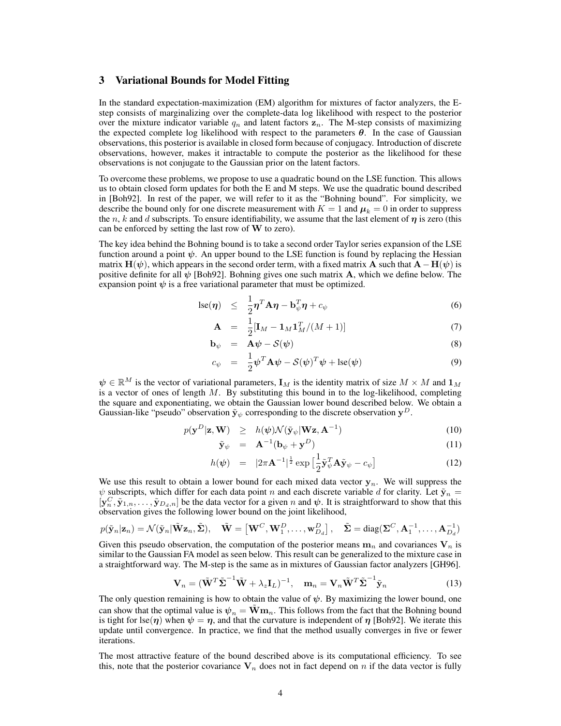# 3 Variational Bounds for Model Fitting

In the standard expectation-maximization (EM) algorithm for mixtures of factor analyzers, the Estep consists of marginalizing over the complete-data log likelihood with respect to the posterior over the mixture indicator variable  $q_n$  and latent factors  $z_n$ . The M-step consists of maximizing the expected complete log likelihood with respect to the parameters  $\theta$ . In the case of Gaussian observations, this posterior is available in closed form because of conjugacy. Introduction of discrete observations, however, makes it intractable to compute the posterior as the likelihood for these observations is not conjugate to the Gaussian prior on the latent factors.

To overcome these problems, we propose to use a quadratic bound on the LSE function. This allows us to obtain closed form updates for both the E and M steps. We use the quadratic bound described in [Boh92]. In rest of the paper, we will refer to it as the "Bohning bound". For simplicity, we describe the bound only for one discrete measurement with  $K = 1$  and  $\mu_k = 0$  in order to suppress the n, k and d subscripts. To ensure identifiability, we assume that the last element of  $\eta$  is zero (this can be enforced by setting the last row of  $W$  to zero).

The key idea behind the Bohning bound is to take a second order Taylor series expansion of the LSE function around a point  $\psi$ . An upper bound to the LSE function is found by replacing the Hessian matrix  $H(\psi)$ , which appears in the second order term, with a fixed matrix A such that  $A-H(\psi)$  is positive definite for all  $\psi$  [Boh92]. Bohning gives one such matrix **A**, which we define below. The expansion point  $\psi$  is a free variational parameter that must be optimized.

$$
\operatorname{lse}(\boldsymbol{\eta}) \leq \frac{1}{2} \boldsymbol{\eta}^T \mathbf{A} \boldsymbol{\eta} - \mathbf{b}_{\psi}^T \boldsymbol{\eta} + c_{\psi} \tag{6}
$$

$$
\mathbf{A} = \frac{1}{2} [\mathbf{I}_M - \mathbf{1}_M \mathbf{1}_M^T / (M+1)] \tag{7}
$$

$$
\mathbf{b}_{\psi} = \mathbf{A}\psi - \mathcal{S}(\psi) \tag{8}
$$

$$
c_{\psi} = \frac{1}{2} \boldsymbol{\psi}^T \mathbf{A} \boldsymbol{\psi} - \mathcal{S}(\boldsymbol{\psi})^T \boldsymbol{\psi} + \mathrm{lse}(\boldsymbol{\psi}) \tag{9}
$$

 $\psi \in \mathbb{R}^M$  is the vector of variational parameters,  $\mathbf{I}_M$  is the identity matrix of size  $M \times M$  and  $\mathbf{1}_M$ is a vector of ones of length  $M$ . By substituting this bound in to the log-likelihood, completing the square and exponentiating, we obtain the Gaussian lower bound described below. We obtain a Gaussian-like "pseudo" observation  $\tilde{\mathbf{y}}_{\psi}$  corresponding to the discrete observation  $\mathbf{y}^{D}$ .

$$
p(\mathbf{y}^D|\mathbf{z}, \mathbf{W}) \ge h(\psi) \mathcal{N}(\tilde{\mathbf{y}}_{\psi}|\mathbf{W}\mathbf{z}, \mathbf{A}^{-1}) \tag{10}
$$

$$
\tilde{\mathbf{y}}_{\psi} = \mathbf{A}^{-1}(\mathbf{b}_{\psi} + \mathbf{y}^{D})
$$
\n(11)

$$
h(\psi) = |2\pi \mathbf{A}^{-1}|^{\frac{1}{2}} \exp\left[\frac{1}{2}\tilde{\mathbf{y}}_{\psi}^T \mathbf{A} \tilde{\mathbf{y}}_{\psi} - c_{\psi}\right]
$$
(12)

We use this result to obtain a lower bound for each mixed data vector  $y_n$ . We will suppress the  $\psi$  subscripts, which differ for each data point n and each discrete variable d for clarity. Let  $\tilde{\mathbf{y}}_n =$  $[\mathbf{y}_n^C, \tilde{\mathbf{y}}_{1,n}, \dots, \tilde{\mathbf{y}}_{D_d,n}]$  be the data vector for a given n and  $\psi$ . It is straightforward to show that this observation gives the following lower bound on the joint likelihood,

$$
p(\tilde{\mathbf{y}}_n|\mathbf{z}_n) = \mathcal{N}(\tilde{\mathbf{y}}_n|\tilde{\mathbf{W}}\mathbf{z}_n, \tilde{\boldsymbol{\Sigma}}), \quad \tilde{\mathbf{W}} = \left[\mathbf{W}^C, \mathbf{W}_1^D, \dots, \mathbf{w}_{D_d}^D\right], \quad \tilde{\boldsymbol{\Sigma}} = \text{diag}(\boldsymbol{\Sigma}^C, \mathbf{A}_1^{-1}, \dots, \mathbf{A}_{D_d}^{-1})
$$

Given this pseudo observation, the computation of the posterior means  $m_n$  and covariances  $V_n$  is similar to the Gaussian FA model as seen below. This result can be generalized to the mixture case in a straightforward way. The M-step is the same as in mixtures of Gaussian factor analyzers [GH96].

$$
\mathbf{V}_n = (\tilde{\mathbf{W}}^T \tilde{\boldsymbol{\Sigma}}^{-1} \tilde{\mathbf{W}} + \lambda_z \mathbf{I}_L)^{-1}, \quad \mathbf{m}_n = \mathbf{V}_n \tilde{\mathbf{W}}^T \tilde{\boldsymbol{\Sigma}}^{-1} \tilde{\mathbf{y}}_n
$$
(13)

The only question remaining is how to obtain the value of  $\psi$ . By maximizing the lower bound, one can show that the optimal value is  $\psi_n = \tilde{W} \mathbf{m}_n$ . This follows from the fact that the Bohning bound is tight for lse( $\eta$ ) when  $\psi = \eta$ , and that the curvature is independent of  $\eta$  [Boh92]. We iterate this update until convergence. In practice, we find that the method usually converges in five or fewer iterations.

The most attractive feature of the bound described above is its computational efficiency. To see this, note that the posterior covariance  $V_n$  does not in fact depend on n if the data vector is fully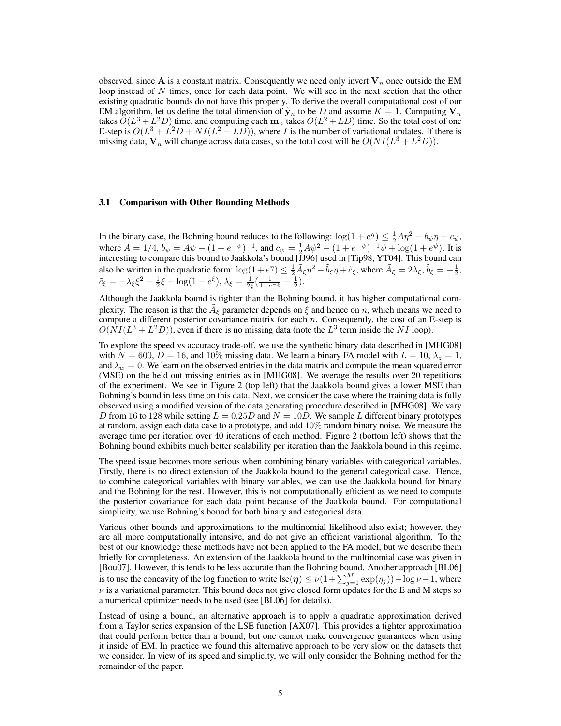observed, since A is a constant matrix. Consequently we need only invert  $V_n$  once outside the EM loop instead of  $N$  times, once for each data point. We will see in the next section that the other existing quadratic bounds do not have this property. To derive the overall computational cost of our EM algorithm, let us define the total dimension of  $\tilde{\mathbf{y}}_n$  to be D and assume  $K = 1$ . Computing  $\mathbf{V}_n$ takes  $\tilde O(L^3 + L^2D)$  time, and computing each  $\mathbf{m}_n$  takes  $O(L^2 + LD)$  time. So the total cost of one E-step is  $O(L^3 + L^2D + NI(L^2 + LD))$ , where *I* is the number of variational updates. If there is missing data,  $V_n$  will change across data cases, so the total cost will be  $O(NI(L^3 + L^2D))$ .

#### 3.1 Comparison with Other Bounding Methods

In the binary case, the Bohning bound reduces to the following:  $\log(1 + e^{\eta}) \le \frac{1}{2}A\eta^2 - b_{\psi}\eta + c_{\psi}$ , where  $A = 1/4$ ,  $b_{\psi} = A\psi - (1 + e^{-\psi})^{-1}$ , and  $c_{\psi} = \frac{1}{2}A\psi^2 - (1 + e^{-\psi})^{-1}\psi + \log(1 + e^{\psi})$ . It is interesting to compare this bound to Jaakkola's bound [JJ96] used in [Tip98, YT04]. This bound can also be written in the quadratic form:  $\log(1 + e^{\eta}) \leq \frac{1}{2} \tilde{A}_{\xi} \eta^2 - \tilde{b}_{\xi} \eta + \tilde{c}_{\xi}$ , where  $\tilde{A}_{\xi} = 2\lambda_{\xi}, \tilde{b}_{\xi} = -\frac{1}{2}$ ,  $\tilde{c}_{\xi} = -\lambda_{\xi} \xi^2 - \frac{1}{2} \xi + \log(1 + e^{\xi}), \lambda_{\xi} = \frac{1}{2\xi} (\frac{1}{1 + e^{-\xi}} - \frac{1}{2}).$ 

Although the Jaakkola bound is tighter than the Bohning bound, it has higher computational complexity. The reason is that the  $\tilde{A}_{\xi}$  parameter depends on  $\xi$  and hence on n, which means we need to compute a different posterior covariance matrix for each  $n$ . Consequently, the cost of an E-step is  $O(NI(L^3 + L^2D))$ , even if there is no missing data (note the  $L^3$  term inside the NI loop).

To explore the speed vs accuracy trade-off, we use the synthetic binary data described in [MHG08] with  $N = 600$ ,  $D = 16$ , and  $10\%$  missing data. We learn a binary FA model with  $L = 10$ ,  $\lambda_z = 1$ , and  $\lambda_w = 0$ . We learn on the observed entries in the data matrix and compute the mean squared error (MSE) on the held out missing entries as in [MHG08]. We average the results over 20 repetitions of the experiment. We see in Figure 2 (top left) that the Jaakkola bound gives a lower MSE than Bohning's bound in less time on this data. Next, we consider the case where the training data is fully observed using a modified version of the data generating procedure described in [MHG08]. We vary D from 16 to 128 while setting  $L = 0.25D$  and  $N = 10D$ . We sample L different binary prototypes at random, assign each data case to a prototype, and add 10% random binary noise. We measure the average time per iteration over 40 iterations of each method. Figure 2 (bottom left) shows that the Bohning bound exhibits much better scalability per iteration than the Jaakkola bound in this regime.

The speed issue becomes more serious when combining binary variables with categorical variables. Firstly, there is no direct extension of the Jaakkola bound to the general categorical case. Hence, to combine categorical variables with binary variables, we can use the Jaakkola bound for binary and the Bohning for the rest. However, this is not computationally efficient as we need to compute the posterior covariance for each data point because of the Jaakkola bound. For computational simplicity, we use Bohning's bound for both binary and categorical data.

Various other bounds and approximations to the multinomial likelihood also exist; however, they are all more computationally intensive, and do not give an efficient variational algorithm. To the best of our knowledge these methods have not been applied to the FA model, but we describe them briefly for completeness. An extension of the Jaakkola bound to the multinomial case was given in [Bou07]. However, this tends to be less accurate than the Bohning bound. Another approach [BL06] is to use the concavity of the log function to write lse( $\eta$ )  $\leq \nu(1+\sum_{j=1}^{M}\exp(\eta_j))-\log\nu-1$ , where  $\nu$  is a variational parameter. This bound does not give closed form updates for the E and M steps so a numerical optimizer needs to be used (see [BL06] for details).

Instead of using a bound, an alternative approach is to apply a quadratic approximation derived from a Taylor series expansion of the LSE function [AX07]. This provides a tighter approximation that could perform better than a bound, but one cannot make convergence guarantees when using it inside of EM. In practice we found this alternative approach to be very slow on the datasets that we consider. In view of its speed and simplicity, we will only consider the Bohning method for the remainder of the paper.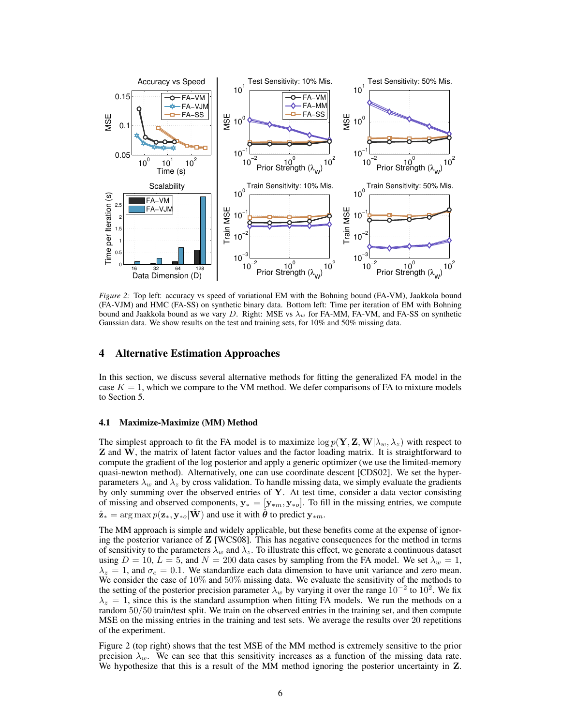

*Figure 2:* Top left: accuracy vs speed of variational EM with the Bohning bound (FA-VM), Jaakkola bound (FA-VJM) and HMC (FA-SS) on synthetic binary data. Bottom left: Time per iteration of EM with Bohning bound and Jaakkola bound as we vary D. Right: MSE vs  $\lambda_w$  for FA-MM, FA-VM, and FA-SS on synthetic Gaussian data. We show results on the test and training sets, for 10% and 50% missing data.

### 4 Alternative Estimation Approaches

In this section, we discuss several alternative methods for fitting the generalized FA model in the case  $K = 1$ , which we compare to the VM method. We defer comparisons of FA to mixture models to Section 5.

#### 4.1 Maximize-Maximize (MM) Method

The simplest approach to fit the FA model is to maximize  $\log p(\mathbf{Y}, \mathbf{Z}, \mathbf{W} | \lambda_w, \lambda_z)$  with respect to Z and W, the matrix of latent factor values and the factor loading matrix. It is straightforward to compute the gradient of the log posterior and apply a generic optimizer (we use the limited-memory quasi-newton method). Alternatively, one can use coordinate descent [CDS02]. We set the hyperparameters  $\lambda_w$  and  $\lambda_z$  by cross validation. To handle missing data, we simply evaluate the gradients by only summing over the observed entries of  $Y$ . At test time, consider a data vector consisting of missing and observed components,  $y_* = [y_{*m}, y_{*o}]$ . To fill in the missing entries, we compute  $\hat{\mathbf{z}}_* = \arg \max p(\mathbf{z}_*, \mathbf{y}_{*0} | \hat{\mathbf{W}})$  and use it with  $\hat{\boldsymbol{\theta}}$  to predict  $\mathbf{y}_{*m}$ .

The MM approach is simple and widely applicable, but these benefits come at the expense of ignoring the posterior variance of Z [WCS08]. This has negative consequences for the method in terms of sensitivity to the parameters  $\lambda_w$  and  $\lambda_z$ . To illustrate this effect, we generate a continuous dataset using  $D = 10$ ,  $L = 5$ , and  $N = 200$  data cases by sampling from the FA model. We set  $\lambda_w = 1$ ,  $\lambda_z = 1$ , and  $\sigma_c = 0.1$ . We standardize each data dimension to have unit variance and zero mean. We consider the case of  $10\%$  and  $50\%$  missing data. We evaluate the sensitivity of the methods to the setting of the posterior precision parameter  $\lambda_w$  by varying it over the range 10<sup>-2</sup> to 10<sup>2</sup>. We fix  $\lambda_z = 1$ , since this is the standard assumption when fitting FA models. We run the methods on a random 50/50 train/test split. We train on the observed entries in the training set, and then compute MSE on the missing entries in the training and test sets. We average the results over 20 repetitions of the experiment.

Figure 2 (top right) shows that the test MSE of the MM method is extremely sensitive to the prior precision  $\lambda_w$ . We can see that this sensitivity increases as a function of the missing data rate. We hypothesize that this is a result of the MM method ignoring the posterior uncertainty in Z.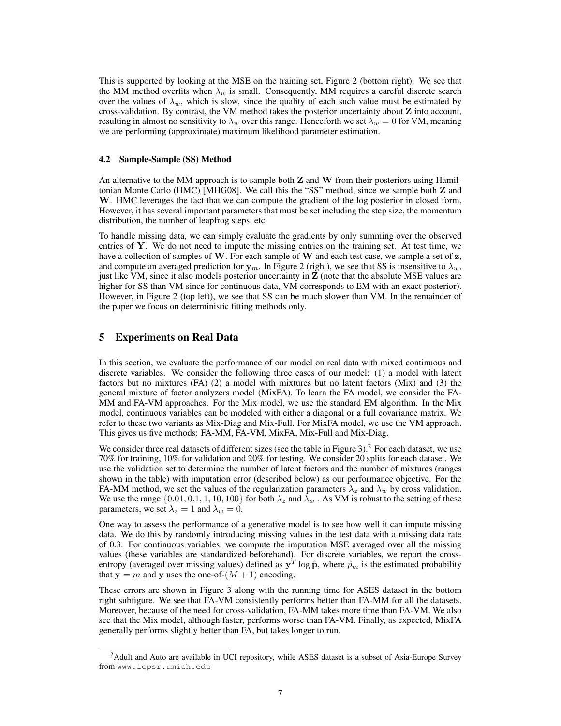This is supported by looking at the MSE on the training set, Figure 2 (bottom right). We see that the MM method overfits when  $\lambda_w$  is small. Consequently, MM requires a careful discrete search over the values of  $\lambda_w$ , which is slow, since the quality of each such value must be estimated by cross-validation. By contrast, the VM method takes the posterior uncertainty about Z into account, resulting in almost no sensitivity to  $\lambda_w$  over this range. Henceforth we set  $\lambda_w = 0$  for VM, meaning we are performing (approximate) maximum likelihood parameter estimation.

#### 4.2 Sample-Sample (SS) Method

An alternative to the MM approach is to sample both  $Z$  and  $W$  from their posteriors using Hamiltonian Monte Carlo (HMC) [MHG08]. We call this the "SS" method, since we sample both Z and W. HMC leverages the fact that we can compute the gradient of the log posterior in closed form. However, it has several important parameters that must be set including the step size, the momentum distribution, the number of leapfrog steps, etc.

To handle missing data, we can simply evaluate the gradients by only summing over the observed entries of  $Y$ . We do not need to impute the missing entries on the training set. At test time, we have a collection of samples of  $W$ . For each sample of  $W$  and each test case, we sample a set of  $z$ , and compute an averaged prediction for  $y_m$ . In Figure 2 (right), we see that SS is insensitive to  $\lambda_w$ , just like VM, since it also models posterior uncertainty in Z (note that the absolute MSE values are higher for SS than VM since for continuous data, VM corresponds to EM with an exact posterior). However, in Figure 2 (top left), we see that SS can be much slower than VM. In the remainder of the paper we focus on deterministic fitting methods only.

## 5 Experiments on Real Data

In this section, we evaluate the performance of our model on real data with mixed continuous and discrete variables. We consider the following three cases of our model: (1) a model with latent factors but no mixtures (FA) (2) a model with mixtures but no latent factors (Mix) and (3) the general mixture of factor analyzers model (MixFA). To learn the FA model, we consider the FA-MM and FA-VM approaches. For the Mix model, we use the standard EM algorithm. In the Mix model, continuous variables can be modeled with either a diagonal or a full covariance matrix. We refer to these two variants as Mix-Diag and Mix-Full. For MixFA model, we use the VM approach. This gives us five methods: FA-MM, FA-VM, MixFA, Mix-Full and Mix-Diag.

We consider three real datasets of different sizes (see the table in Figure 3).<sup>2</sup> For each dataset, we use 70% for training, 10% for validation and 20% for testing. We consider 20 splits for each dataset. We use the validation set to determine the number of latent factors and the number of mixtures (ranges shown in the table) with imputation error (described below) as our performance objective. For the FA-MM method, we set the values of the regularization parameters  $\lambda_z$  and  $\lambda_w$  by cross validation. We use the range  $\{0.01, 0.1, 1, 10, 100\}$  for both  $\lambda_z$  and  $\lambda_w$ . As VM is robust to the setting of these parameters, we set  $\lambda_z = 1$  and  $\lambda_w = 0$ .

One way to assess the performance of a generative model is to see how well it can impute missing data. We do this by randomly introducing missing values in the test data with a missing data rate of 0.3. For continuous variables, we compute the imputation MSE averaged over all the missing values (these variables are standardized beforehand). For discrete variables, we report the crossentropy (averaged over missing values) defined as  $y^T \log \hat{p}$ , where  $\hat{p}_m$  is the estimated probability that  $y = m$  and y uses the one-of- $(M + 1)$  encoding.

These errors are shown in Figure 3 along with the running time for ASES dataset in the bottom right subfigure. We see that FA-VM consistently performs better than FA-MM for all the datasets. Moreover, because of the need for cross-validation, FA-MM takes more time than FA-VM. We also see that the Mix model, although faster, performs worse than FA-VM. Finally, as expected, MixFA generally performs slightly better than FA, but takes longer to run.

<sup>&</sup>lt;sup>2</sup> Adult and Auto are available in UCI repository, while ASES dataset is a subset of Asia-Europe Survey from www.icpsr.umich.edu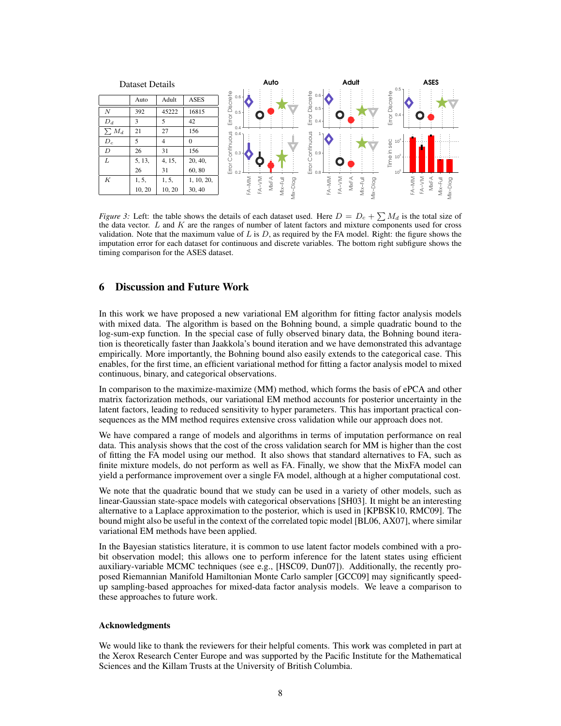

*Figure 3:* Left: the table shows the details of each dataset used. Here  $D = D_c + \sum M_d$  is the total size of the data vector.  $L$  and  $K$  are the ranges of number of latent factors and mixture components used for cross validation. Note that the maximum value of L is D, as required by the FA model. Right: the figure shows the imputation error for each dataset for continuous and discrete variables. The bottom right subfigure shows the timing comparison for the ASES dataset.

# 6 Discussion and Future Work

In this work we have proposed a new variational EM algorithm for fitting factor analysis models with mixed data. The algorithm is based on the Bohning bound, a simple quadratic bound to the log-sum-exp function. In the special case of fully observed binary data, the Bohning bound iteration is theoretically faster than Jaakkola's bound iteration and we have demonstrated this advantage empirically. More importantly, the Bohning bound also easily extends to the categorical case. This enables, for the first time, an efficient variational method for fitting a factor analysis model to mixed continuous, binary, and categorical observations.

In comparison to the maximize-maximize (MM) method, which forms the basis of ePCA and other matrix factorization methods, our variational EM method accounts for posterior uncertainty in the latent factors, leading to reduced sensitivity to hyper parameters. This has important practical consequences as the MM method requires extensive cross validation while our approach does not.

We have compared a range of models and algorithms in terms of imputation performance on real data. This analysis shows that the cost of the cross validation search for MM is higher than the cost of fitting the FA model using our method. It also shows that standard alternatives to FA, such as finite mixture models, do not perform as well as FA. Finally, we show that the MixFA model can yield a performance improvement over a single FA model, although at a higher computational cost.

We note that the quadratic bound that we study can be used in a variety of other models, such as linear-Gaussian state-space models with categorical observations [SH03]. It might be an interesting alternative to a Laplace approximation to the posterior, which is used in [KPBSK10, RMC09]. The bound might also be useful in the context of the correlated topic model [BL06, AX07], where similar variational EM methods have been applied.

In the Bayesian statistics literature, it is common to use latent factor models combined with a probit observation model; this allows one to perform inference for the latent states using efficient auxiliary-variable MCMC techniques (see e.g., [HSC09, Dun07]). Additionally, the recently proposed Riemannian Manifold Hamiltonian Monte Carlo sampler [GCC09] may significantly speedup sampling-based approaches for mixed-data factor analysis models. We leave a comparison to these approaches to future work.

#### Acknowledgments

We would like to thank the reviewers for their helpful coments. This work was completed in part at the Xerox Research Center Europe and was supported by the Pacific Institute for the Mathematical Sciences and the Killam Trusts at the University of British Columbia.